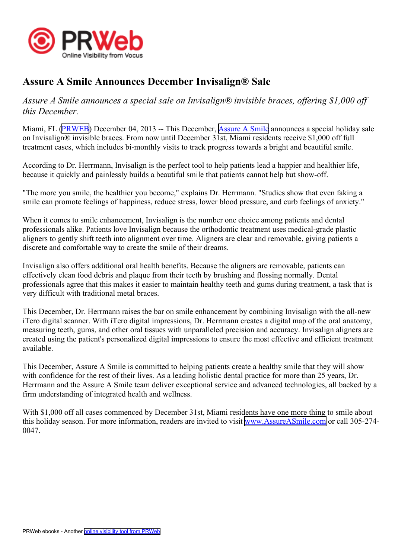

## **Assure A Smile Announces December Invisalign® Sale**

*Assure A Smile announces <sup>a</sup> special sale on Invisalign® invisible braces, offering \$1,000 off this December.*

Miami, FL ([PRWEB](http://www.prweb.com)) December 04, 2013 -- This December, [Assure](http://www.assureasmile.com) A Smile announces <sup>a</sup> special holiday sale on Invisalign® invisible braces. From now until December 31st, Miami residents receive \$1,000 off full treatment cases, which includes bi-monthly visits to track progress towards <sup>a</sup> bright and beautiful smile.

According to Dr. Herrmann, Invisalign is the perfect tool to help patients lead <sup>a</sup> happier and healthier life, because it quickly and painlessly builds <sup>a</sup> beautiful smile that patients cannot help but show-off.

"The more you smile, the healthier you become," explains Dr. Herrmann. "Studies show that even faking <sup>a</sup> smile can promote feelings of happiness, reduce stress, lower blood pressure, and curb feelings of anxiety."

When it comes to smile enhancement, Invisalign is the number one choice among patients and dental professionals alike. Patients love Invisalign because the orthodontic treatment uses medical-grade plastic aligners to gently shift teeth into alignment over time. Aligners are clear and removable, giving patients <sup>a</sup> discrete and comfortable way to create the smile of their dreams.

Invisalign also offers additional oral health benefits. Because the aligners are removable, patients can effectively clean food debris and plaque from their teeth by brushing and flossing normally. Dental professionals agree that this makes it easier to maintain healthy teeth and gums during treatment, <sup>a</sup> task that is very difficult with traditional metal braces.

This December, Dr. Herrmann raises the bar on smile enhancement by combining Invisalign with the all-new iTero digital scanner. With iTero digital impressions, Dr. Herrmann creates <sup>a</sup> digital map of the oral anatomy, measuring teeth, gums, and other oral tissues with unparalleled precision and accuracy. Invisalign aligners are created using the patient's personalized digital impressions to ensure the most effective and efficient treatment available.

This December, Assure A Smile is committed to helping patients create <sup>a</sup> healthy smile that they will show with confidence for the rest of their lives. As a leading holistic dental practice for more than 25 years, Dr. Herrmann and the Assure A Smile team deliver exceptional service and advanced technologies, all backed by <sup>a</sup> firm understanding of integrated health and wellness.

With \$1,000 off all cases commenced by December 31st, Miami residents have one more thing to smile about this holiday season. For more information, readers are invited to visit [www.AssureASmile.com](http://www.AssureASmile.com) or call 305-274- 0047.